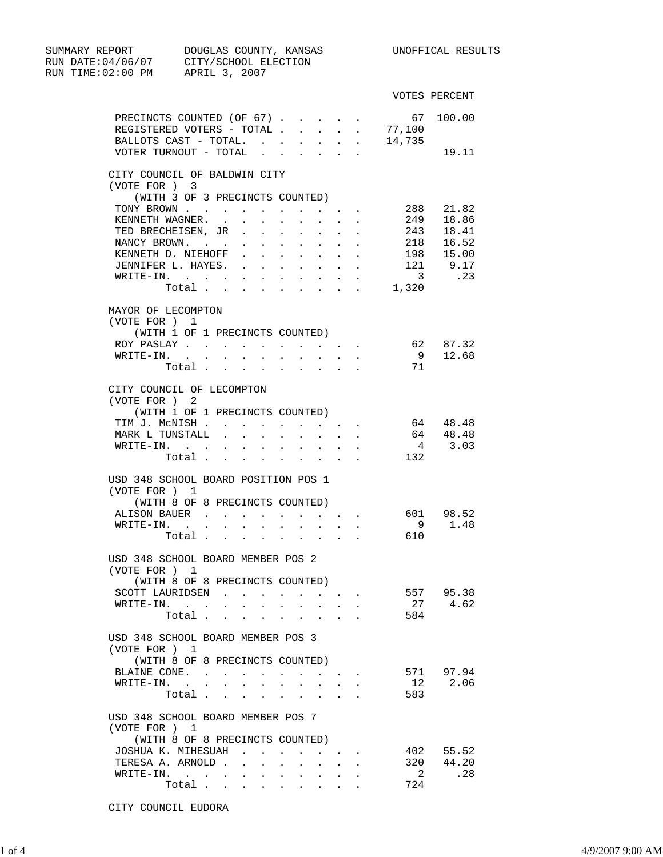| SUMMARY REPORT                   | DOUGLAS COUNTY, KANSAS<br>RUN DATE: 04/06/07 CITY/SCHOOL ELECTION |                                                                                                         |                  | UNOFFICAL RESULTS       |
|----------------------------------|-------------------------------------------------------------------|---------------------------------------------------------------------------------------------------------|------------------|-------------------------|
| RUN TIME: 02:00 PM APRIL 3, 2007 |                                                                   |                                                                                                         |                  |                         |
|                                  |                                                                   |                                                                                                         |                  | VOTES PERCENT           |
|                                  | PRECINCTS COUNTED (OF 67).                                        |                                                                                                         | 67               | 100.00                  |
|                                  | REGISTERED VOTERS - TOTAL                                         | $\sim$<br>$\sim 10^{-11}$                                                                               | 77,100<br>$\sim$ |                         |
|                                  | BALLOTS CAST - TOTAL.                                             | $\mathcal{L}^{\text{max}}(\mathcal{L}^{\text{max}}(\mathcal{L}^{\text{max}}(\mathcal{L}^{\text{max}}))$ | 14,735           |                         |
|                                  | VOTER TURNOUT - TOTAL $\cdot \cdot \cdot \cdot \cdot$             |                                                                                                         |                  | 19.11                   |
|                                  | CITY COUNCIL OF BALDWIN CITY                                      |                                                                                                         |                  |                         |
| (VOTE FOR ) 3                    |                                                                   |                                                                                                         |                  |                         |
|                                  | (WITH 3 OF 3 PRECINCTS COUNTED)                                   |                                                                                                         |                  |                         |
|                                  | TONY BROWN                                                        | $\mathbf{A}$ , and $\mathbf{A}$ , and $\mathbf{A}$ , and $\mathbf{A}$                                   | 288              | 21.82                   |
|                                  | KENNETH WAGNER.<br>$\mathbf{L}$<br>$\mathbf{L}$                   | $\mathbf{r}$ , $\mathbf{r}$ , $\mathbf{r}$                                                              | 249              | 18.86                   |
|                                  | TED BRECHEISEN, JR                                                | $\mathbf{r} = \mathbf{r} \cdot \mathbf{r}$ , where $\mathbf{r} = \mathbf{r} \cdot \mathbf{r}$           | 243              | 18.41                   |
|                                  | NANCY BROWN.                                                      |                                                                                                         | 218              | 16.52                   |
|                                  | KENNETH D. NIEHOFF<br>$\sim$ 100 $\pm$<br>$\sim$                  | $\sim 100$<br><b>Carl Carl Corp.</b>                                                                    |                  | 198 15.00<br>$121$ 9.17 |
|                                  | JENNIFER L. HAYES.<br>$\sim$ $-$                                  | $\cdot$ $\cdot$ $\cdot$ $\cdot$                                                                         |                  |                         |
|                                  | WRITE-IN.                                                         |                                                                                                         |                  | 3 .23                   |
|                                  | Total 1,320                                                       |                                                                                                         |                  |                         |
| MAYOR OF LECOMPTON               |                                                                   |                                                                                                         |                  |                         |
| (VOTE FOR ) 1                    |                                                                   |                                                                                                         |                  |                         |
|                                  | (WITH 1 OF 1 PRECINCTS COUNTED)                                   |                                                                                                         |                  |                         |
|                                  | ROY PASLAY<br>$\sim$<br>$\sim 100$                                | $\mathbf{r} = \mathbf{r} + \mathbf{r}$                                                                  | 62<br>9          | 87.32<br>12.68          |
|                                  | WRITE-IN.                                                         |                                                                                                         | 71               |                         |
|                                  | Total                                                             |                                                                                                         |                  |                         |
|                                  | CITY COUNCIL OF LECOMPTON                                         |                                                                                                         |                  |                         |
| (VOTE FOR) 2                     |                                                                   |                                                                                                         |                  |                         |
|                                  | (WITH 1 OF 1 PRECINCTS COUNTED)                                   |                                                                                                         |                  |                         |
|                                  | TIM J. MCNISH                                                     |                                                                                                         | 64               | 48.48                   |
|                                  | MARK L TUNSTALL<br>$\sim$<br>$\ddot{\phantom{0}}$                 | $\ddot{\phantom{0}}$<br>$\sim 100$                                                                      | $\sim$           | 64 48.48                |
|                                  | WRITE-IN.                                                         |                                                                                                         |                  | 4 3.03                  |
|                                  | Total 132                                                         |                                                                                                         |                  |                         |
|                                  | USD 348 SCHOOL BOARD POSITION POS 1                               |                                                                                                         |                  |                         |
| (VOTE FOR) 1                     |                                                                   |                                                                                                         |                  |                         |
|                                  | (WITH 8 OF 8 PRECINCTS COUNTED)                                   |                                                                                                         |                  |                         |
|                                  | ALISON BAUER                                                      |                                                                                                         |                  | 601 98.52               |
|                                  | WRITE-IN.                                                         |                                                                                                         |                  | 9<br>1.48               |
|                                  | Total                                                             |                                                                                                         | 610              |                         |
|                                  | USD 348 SCHOOL BOARD MEMBER POS 2                                 |                                                                                                         |                  |                         |
| (VOTE FOR ) 1                    |                                                                   |                                                                                                         |                  |                         |
|                                  | (WITH 8 OF 8 PRECINCTS COUNTED)                                   |                                                                                                         |                  |                         |
|                                  | SCOTT LAURIDSEN                                                   | $\mathbf{r}$ , $\mathbf{r}$ , $\mathbf{r}$ , $\mathbf{r}$                                               |                  | 557 95.38               |
| $WRITE-IN.$                      |                                                                   |                                                                                                         | 27               | 4.62                    |
|                                  | Total.<br>$\sim$<br>÷.                                            | $\sim$                                                                                                  | 584              |                         |
|                                  | USD 348 SCHOOL BOARD MEMBER POS 3                                 |                                                                                                         |                  |                         |
| (VOTE FOR ) 1                    |                                                                   |                                                                                                         |                  |                         |
|                                  | (WITH 8 OF 8 PRECINCTS COUNTED)                                   |                                                                                                         |                  |                         |
|                                  | BLAINE CONE.                                                      |                                                                                                         |                  | 571 97.94               |
|                                  | $\texttt{WRITE-IN.}$<br>$\mathbf{A}^{\text{max}}$                 | <b>All Card Corporation</b>                                                                             | 12               | 2.06                    |
|                                  | Total .<br>$\sim$<br>$\sim$ $-$                                   |                                                                                                         | 583              |                         |
|                                  | USD 348 SCHOOL BOARD MEMBER POS 7                                 |                                                                                                         |                  |                         |
| (VOTE FOR ) 1                    |                                                                   |                                                                                                         |                  |                         |
|                                  | (WITH 8 OF 8 PRECINCTS COUNTED)                                   |                                                                                                         |                  |                         |
|                                  | JOSHUA K. MIHESUAH                                                |                                                                                                         |                  | 402 55.52               |
|                                  | TERESA A. ARNOLD                                                  |                                                                                                         |                  | 320 44.20               |
|                                  | $\texttt{WRITE-IN.}$                                              |                                                                                                         | $\overline{2}$   | .28                     |
|                                  | Total                                                             |                                                                                                         | 724              |                         |

CITY COUNCIL EUDORA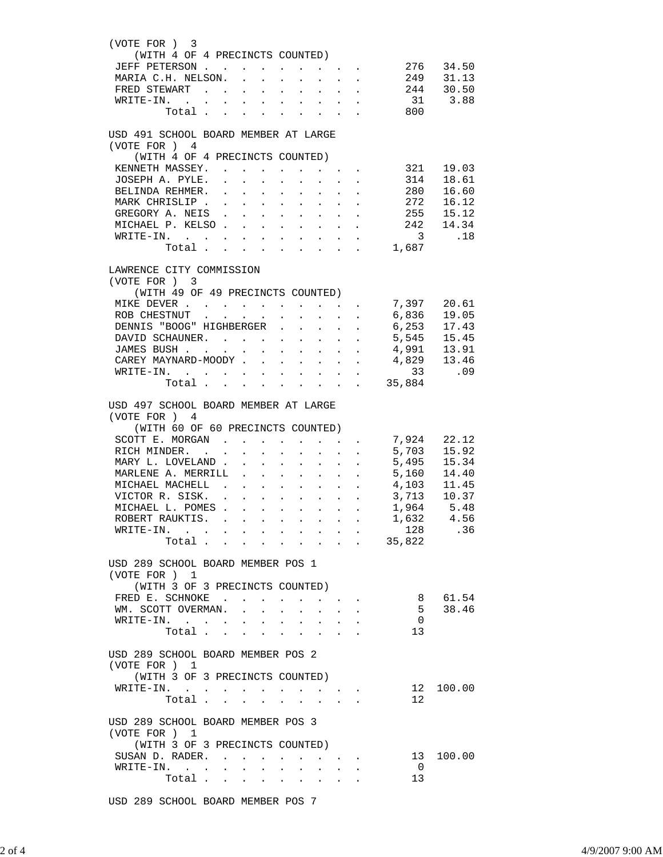| (VOTE FOR) 3                              | (WITH 4 OF 4 PRECINCTS COUNTED)   |                           |                                                                                                                                                                                                                                                                                                                                                                                                                                                            |                                                                                               |                                              |                                                                                           |                                       |                                                         |                                                                                                                                                                                 |                          |
|-------------------------------------------|-----------------------------------|---------------------------|------------------------------------------------------------------------------------------------------------------------------------------------------------------------------------------------------------------------------------------------------------------------------------------------------------------------------------------------------------------------------------------------------------------------------------------------------------|-----------------------------------------------------------------------------------------------|----------------------------------------------|-------------------------------------------------------------------------------------------|---------------------------------------|---------------------------------------------------------|---------------------------------------------------------------------------------------------------------------------------------------------------------------------------------|--------------------------|
| JEFF PETERSON 276 34.50                   |                                   |                           |                                                                                                                                                                                                                                                                                                                                                                                                                                                            |                                                                                               |                                              |                                                                                           |                                       |                                                         |                                                                                                                                                                                 |                          |
| MARIA C.H. NELSON. 249 31.13              |                                   |                           |                                                                                                                                                                                                                                                                                                                                                                                                                                                            |                                                                                               |                                              |                                                                                           |                                       |                                                         |                                                                                                                                                                                 |                          |
|                                           |                                   |                           |                                                                                                                                                                                                                                                                                                                                                                                                                                                            |                                                                                               |                                              |                                                                                           |                                       |                                                         |                                                                                                                                                                                 |                          |
| FRED STEWART                              |                                   |                           |                                                                                                                                                                                                                                                                                                                                                                                                                                                            |                                                                                               |                                              |                                                                                           |                                       |                                                         | 244 30.50<br>31 3.88                                                                                                                                                            |                          |
| WRITE-IN. .                               |                                   | <b>Allen Artists</b>      | $\Delta \sim 100$ km s $^{-1}$                                                                                                                                                                                                                                                                                                                                                                                                                             |                                                                                               |                                              | $\mathbf{r} = \mathbf{r} + \mathbf{r} + \mathbf{r}$                                       |                                       | $\sim$                                                  | 800                                                                                                                                                                             |                          |
|                                           | Total                             |                           |                                                                                                                                                                                                                                                                                                                                                                                                                                                            |                                                                                               |                                              |                                                                                           |                                       |                                                         |                                                                                                                                                                                 |                          |
| USD 491 SCHOOL BOARD MEMBER AT LARGE      |                                   |                           |                                                                                                                                                                                                                                                                                                                                                                                                                                                            |                                                                                               |                                              |                                                                                           |                                       |                                                         |                                                                                                                                                                                 |                          |
| (VOTE FOR) 4                              |                                   |                           |                                                                                                                                                                                                                                                                                                                                                                                                                                                            |                                                                                               |                                              |                                                                                           |                                       |                                                         |                                                                                                                                                                                 |                          |
|                                           | (WITH 4 OF 4 PRECINCTS COUNTED)   |                           |                                                                                                                                                                                                                                                                                                                                                                                                                                                            |                                                                                               |                                              |                                                                                           |                                       |                                                         |                                                                                                                                                                                 |                          |
| KENNETH MASSEY. 321                       |                                   |                           |                                                                                                                                                                                                                                                                                                                                                                                                                                                            |                                                                                               |                                              |                                                                                           |                                       |                                                         |                                                                                                                                                                                 | 19.03                    |
| JOSEPH A. PYLE. .                         |                                   |                           | $\mathbf{r} = \mathbf{r} + \mathbf{r} + \mathbf{r} + \mathbf{r}$                                                                                                                                                                                                                                                                                                                                                                                           |                                                                                               |                                              |                                                                                           | <b>Service Control</b>                |                                                         | 314<br>280                                                                                                                                                                      | 18.61                    |
| BELINDA REHMER.                           |                                   | $\mathbf{L}^{\text{max}}$ | $\mathbf{L}^{\text{max}}$ , $\mathbf{L}^{\text{max}}$                                                                                                                                                                                                                                                                                                                                                                                                      |                                                                                               | <b>Service</b> State                         | $\sim$ $\sim$                                                                             | $\mathbf{L}^{\text{max}}$             | $\sim$                                                  |                                                                                                                                                                                 | 16.60                    |
| MARK CHRISLIP                             |                                   |                           | $\mathbf{r} = \mathbf{r} + \mathbf{r} + \mathbf{r} + \mathbf{r} + \mathbf{r}$                                                                                                                                                                                                                                                                                                                                                                              |                                                                                               |                                              |                                                                                           |                                       |                                                         | $\cdot$ $\cdot$ 272                                                                                                                                                             | 16.12                    |
| GREGORY A. NEIS.                          |                                   |                           |                                                                                                                                                                                                                                                                                                                                                                                                                                                            | $\mathbf{r} = \mathbf{r} \cdot \mathbf{r}$ , where $\mathbf{r} = \mathbf{r} \cdot \mathbf{r}$ |                                              | $\sim$ $-$                                                                                | $\mathbf{L}^{\text{max}}$             |                                                         | . 255 15.12                                                                                                                                                                     |                          |
| MICHAEL P. KELSO.                         |                                   |                           | $\mathbf{1} \qquad \mathbf{1} \qquad \mathbf{1} \qquad \mathbf{1} \qquad \mathbf{1} \qquad \mathbf{1} \qquad \mathbf{1} \qquad \mathbf{1} \qquad \mathbf{1} \qquad \mathbf{1} \qquad \mathbf{1} \qquad \mathbf{1} \qquad \mathbf{1} \qquad \mathbf{1} \qquad \mathbf{1} \qquad \mathbf{1} \qquad \mathbf{1} \qquad \mathbf{1} \qquad \mathbf{1} \qquad \mathbf{1} \qquad \mathbf{1} \qquad \mathbf{1} \qquad \mathbf{1} \qquad \mathbf{1} \qquad \mathbf{$ |                                                                                               |                                              |                                                                                           |                                       | $\mathcal{L}^{\text{max}}$ , $\mathcal{L}^{\text{max}}$ |                                                                                                                                                                                 | $242$ $14.34$<br>3 $.18$ |
| $\texttt{WRTTE-IN.}$                      |                                   |                           |                                                                                                                                                                                                                                                                                                                                                                                                                                                            |                                                                                               |                                              | $\mathbf{r} = \mathbf{r} + \mathbf{r} + \mathbf{r}$                                       |                                       | $\sim$                                                  |                                                                                                                                                                                 |                          |
|                                           | Total                             |                           |                                                                                                                                                                                                                                                                                                                                                                                                                                                            |                                                                                               |                                              |                                                                                           |                                       |                                                         | 1,687                                                                                                                                                                           |                          |
|                                           |                                   |                           |                                                                                                                                                                                                                                                                                                                                                                                                                                                            |                                                                                               |                                              |                                                                                           |                                       |                                                         |                                                                                                                                                                                 |                          |
| LAWRENCE CITY COMMISSION<br>(VOTE FOR ) 3 |                                   |                           |                                                                                                                                                                                                                                                                                                                                                                                                                                                            |                                                                                               |                                              |                                                                                           |                                       |                                                         |                                                                                                                                                                                 |                          |
|                                           | (WITH 49 OF 49 PRECINCTS COUNTED) |                           |                                                                                                                                                                                                                                                                                                                                                                                                                                                            |                                                                                               |                                              |                                                                                           |                                       |                                                         |                                                                                                                                                                                 |                          |
| MIKE DEVER                                |                                   |                           |                                                                                                                                                                                                                                                                                                                                                                                                                                                            |                                                                                               |                                              |                                                                                           |                                       |                                                         |                                                                                                                                                                                 |                          |
| ROB CHESTNUT                              |                                   |                           |                                                                                                                                                                                                                                                                                                                                                                                                                                                            |                                                                                               |                                              |                                                                                           | $\mathbf{L}^{\text{max}}$             | $\ddot{\phantom{0}}$                                    | 7,397 20.61<br>6,836 19.05<br>6,253 17.43                                                                                                                                       |                          |
| DENNIS "BOOG" HIGHBERGER                  |                                   |                           |                                                                                                                                                                                                                                                                                                                                                                                                                                                            | $\sim$                                                                                        | $\ddot{\phantom{0}}$                         | $\mathbf{r} = \mathbf{r} \cdot \mathbf{r}$ and $\mathbf{r} = \mathbf{r} \cdot \mathbf{r}$ |                                       | $\mathbf{L}$                                            |                                                                                                                                                                                 |                          |
|                                           |                                   |                           |                                                                                                                                                                                                                                                                                                                                                                                                                                                            |                                                                                               |                                              |                                                                                           |                                       |                                                         |                                                                                                                                                                                 |                          |
| DAVID SCHAUNER. 5,545 15.45               |                                   |                           |                                                                                                                                                                                                                                                                                                                                                                                                                                                            |                                                                                               |                                              |                                                                                           |                                       |                                                         |                                                                                                                                                                                 |                          |
| JAMES BUSH                                |                                   |                           |                                                                                                                                                                                                                                                                                                                                                                                                                                                            |                                                                                               |                                              | <b>Service Control</b>                                                                    |                                       |                                                         |                                                                                                                                                                                 |                          |
| CAREY MAYNARD-MOODY                       |                                   |                           |                                                                                                                                                                                                                                                                                                                                                                                                                                                            |                                                                                               | $\mathbf{u} = \mathbf{u} \cdot \mathbf{u}$ . | $\mathcal{L}^{\text{max}}$                                                                |                                       |                                                         | $\begin{array}{cccccc} . & . & . & . & 4 \, , & 991 & 13 \, . & 91 \\ . & . & . & . & 4 \, , & 829 & 13 \, . & 46 \\ . & . & . & . & . & . & . & . & . & . & . & . \end{array}$ |                          |
| WRITE-IN.                                 |                                   |                           |                                                                                                                                                                                                                                                                                                                                                                                                                                                            |                                                                                               |                                              |                                                                                           |                                       |                                                         |                                                                                                                                                                                 |                          |
|                                           | Total                             |                           |                                                                                                                                                                                                                                                                                                                                                                                                                                                            |                                                                                               |                                              |                                                                                           |                                       |                                                         | 35,884                                                                                                                                                                          |                          |
| USD 497 SCHOOL BOARD MEMBER AT LARGE      |                                   |                           |                                                                                                                                                                                                                                                                                                                                                                                                                                                            |                                                                                               |                                              |                                                                                           |                                       |                                                         |                                                                                                                                                                                 |                          |
| (VOTE FOR ) 4                             |                                   |                           |                                                                                                                                                                                                                                                                                                                                                                                                                                                            |                                                                                               |                                              |                                                                                           |                                       |                                                         |                                                                                                                                                                                 |                          |
|                                           | (WITH 60 OF 60 PRECINCTS COUNTED) |                           |                                                                                                                                                                                                                                                                                                                                                                                                                                                            |                                                                                               |                                              |                                                                                           |                                       |                                                         |                                                                                                                                                                                 |                          |
|                                           |                                   |                           |                                                                                                                                                                                                                                                                                                                                                                                                                                                            |                                                                                               |                                              |                                                                                           |                                       |                                                         |                                                                                                                                                                                 |                          |
| SCOTT E. MORGAN<br>RICH MINDER.           |                                   |                           |                                                                                                                                                                                                                                                                                                                                                                                                                                                            |                                                                                               |                                              |                                                                                           |                                       |                                                         | 7,924     22.12<br>5,703    15.92                                                                                                                                               |                          |
|                                           |                                   |                           | $\mathbf{z}$ and $\mathbf{z}$                                                                                                                                                                                                                                                                                                                                                                                                                              | $\mathbf{L}$<br>$\sim$                                                                        | $\sim$                                       | $\ddot{\phantom{a}}$                                                                      | $\mathbf{L}^{\text{max}}$             | $\mathbf{L}$                                            | 5,495 15.34                                                                                                                                                                     |                          |
| MARY L. LOVELAND .                        |                                   |                           |                                                                                                                                                                                                                                                                                                                                                                                                                                                            | $\mathbf{r}$ , and $\mathbf{r}$ , and $\mathbf{r}$ , and $\mathbf{r}$                         |                                              |                                                                                           |                                       |                                                         |                                                                                                                                                                                 |                          |
| MARLENE A. MERRILL                        |                                   |                           |                                                                                                                                                                                                                                                                                                                                                                                                                                                            |                                                                                               |                                              | $\sim$ 100 $\pm$                                                                          | $\mathcal{L}^{\text{max}}$            | $\sim 10^{-11}$                                         |                                                                                                                                                                                 | 5,160 14.40              |
| MICHAEL MACHELL .                         |                                   |                           |                                                                                                                                                                                                                                                                                                                                                                                                                                                            | $\mathbf{r} = \mathbf{r} \cdot \mathbf{r}$ , where $\mathbf{r} = \mathbf{r} \cdot \mathbf{r}$ |                                              | $\sim$ 100 $\pm$                                                                          | $\mathbf{L}$                          | $\mathcal{L}^{\text{max}}$                              | 4,103 11.45<br>3,713 10.37                                                                                                                                                      |                          |
| VICTOR R. SISK.                           |                                   |                           |                                                                                                                                                                                                                                                                                                                                                                                                                                                            |                                                                                               |                                              |                                                                                           |                                       | $\sim$ $-$                                              |                                                                                                                                                                                 |                          |
| MICHAEL L. POMES 1,964 5.48               |                                   |                           |                                                                                                                                                                                                                                                                                                                                                                                                                                                            |                                                                                               |                                              |                                                                                           |                                       |                                                         |                                                                                                                                                                                 |                          |
| ROBERT RAUKTIS.                           |                                   |                           |                                                                                                                                                                                                                                                                                                                                                                                                                                                            |                                                                                               |                                              |                                                                                           |                                       |                                                         | 1,632                                                                                                                                                                           | 4.56                     |
| WRITE-IN.                                 |                                   |                           |                                                                                                                                                                                                                                                                                                                                                                                                                                                            |                                                                                               |                                              |                                                                                           |                                       |                                                         | 128                                                                                                                                                                             | .36                      |
|                                           | Total                             |                           | $\sim$<br>$\sim$                                                                                                                                                                                                                                                                                                                                                                                                                                           |                                                                                               |                                              |                                                                                           |                                       |                                                         | $\cdot$ 35,822                                                                                                                                                                  |                          |
| USD 289 SCHOOL BOARD MEMBER POS 1         |                                   |                           |                                                                                                                                                                                                                                                                                                                                                                                                                                                            |                                                                                               |                                              |                                                                                           |                                       |                                                         |                                                                                                                                                                                 |                          |
| (VOTE FOR ) 1                             |                                   |                           |                                                                                                                                                                                                                                                                                                                                                                                                                                                            |                                                                                               |                                              |                                                                                           |                                       |                                                         |                                                                                                                                                                                 |                          |
|                                           | (WITH 3 OF 3 PRECINCTS COUNTED)   |                           |                                                                                                                                                                                                                                                                                                                                                                                                                                                            |                                                                                               |                                              |                                                                                           |                                       |                                                         |                                                                                                                                                                                 |                          |
| FRED E. SCHNOKE                           |                                   |                           |                                                                                                                                                                                                                                                                                                                                                                                                                                                            |                                                                                               |                                              |                                                                                           |                                       |                                                         | 8                                                                                                                                                                               | 61.54                    |
| WM. SCOTT OVERMAN.                        |                                   |                           |                                                                                                                                                                                                                                                                                                                                                                                                                                                            |                                                                                               |                                              | $\sim$ 100 $\pm$                                                                          |                                       |                                                         | 5                                                                                                                                                                               | 38.46                    |
| WRITE-IN.                                 |                                   |                           |                                                                                                                                                                                                                                                                                                                                                                                                                                                            |                                                                                               |                                              |                                                                                           |                                       |                                                         | $\overline{0}$                                                                                                                                                                  |                          |
|                                           |                                   |                           |                                                                                                                                                                                                                                                                                                                                                                                                                                                            |                                                                                               |                                              |                                                                                           |                                       |                                                         |                                                                                                                                                                                 |                          |
|                                           | Total                             |                           |                                                                                                                                                                                                                                                                                                                                                                                                                                                            |                                                                                               | $\ddot{\phantom{a}}$                         | $\sim$                                                                                    |                                       | $\sim$                                                  | 13                                                                                                                                                                              |                          |
|                                           |                                   |                           |                                                                                                                                                                                                                                                                                                                                                                                                                                                            |                                                                                               |                                              |                                                                                           |                                       |                                                         |                                                                                                                                                                                 |                          |
| USD 289 SCHOOL BOARD MEMBER POS 2         |                                   |                           |                                                                                                                                                                                                                                                                                                                                                                                                                                                            |                                                                                               |                                              |                                                                                           |                                       |                                                         |                                                                                                                                                                                 |                          |
| (VOTE FOR) 1                              |                                   |                           |                                                                                                                                                                                                                                                                                                                                                                                                                                                            |                                                                                               |                                              |                                                                                           |                                       |                                                         |                                                                                                                                                                                 |                          |
|                                           | (WITH 3 OF 3 PRECINCTS COUNTED)   |                           |                                                                                                                                                                                                                                                                                                                                                                                                                                                            |                                                                                               |                                              |                                                                                           |                                       |                                                         |                                                                                                                                                                                 |                          |
| WRITE-IN.                                 |                                   |                           |                                                                                                                                                                                                                                                                                                                                                                                                                                                            |                                                                                               |                                              |                                                                                           |                                       |                                                         | 12                                                                                                                                                                              | 100.00                   |
|                                           | Total                             |                           |                                                                                                                                                                                                                                                                                                                                                                                                                                                            |                                                                                               |                                              |                                                                                           |                                       |                                                         | 12                                                                                                                                                                              |                          |
| USD 289 SCHOOL BOARD MEMBER POS 3         |                                   |                           |                                                                                                                                                                                                                                                                                                                                                                                                                                                            |                                                                                               |                                              |                                                                                           |                                       |                                                         |                                                                                                                                                                                 |                          |
| (VOTE FOR ) 1                             |                                   |                           |                                                                                                                                                                                                                                                                                                                                                                                                                                                            |                                                                                               |                                              |                                                                                           |                                       |                                                         |                                                                                                                                                                                 |                          |
|                                           | (WITH 3 OF 3 PRECINCTS COUNTED)   |                           |                                                                                                                                                                                                                                                                                                                                                                                                                                                            |                                                                                               |                                              |                                                                                           |                                       |                                                         |                                                                                                                                                                                 |                          |
| SUSAN D. RADER.                           |                                   |                           |                                                                                                                                                                                                                                                                                                                                                                                                                                                            | $\sim$                                                                                        | $\mathbf{a}$ . $\mathbf{b}$                  |                                                                                           | $\bullet$ . In the case of the $\sim$ |                                                         | 13                                                                                                                                                                              | 100.00                   |
| WRITE-IN.                                 |                                   |                           |                                                                                                                                                                                                                                                                                                                                                                                                                                                            |                                                                                               |                                              |                                                                                           |                                       |                                                         | $\overline{0}$                                                                                                                                                                  |                          |
|                                           | Total                             |                           |                                                                                                                                                                                                                                                                                                                                                                                                                                                            |                                                                                               |                                              |                                                                                           |                                       |                                                         | 13                                                                                                                                                                              |                          |

USD 289 SCHOOL BOARD MEMBER POS 7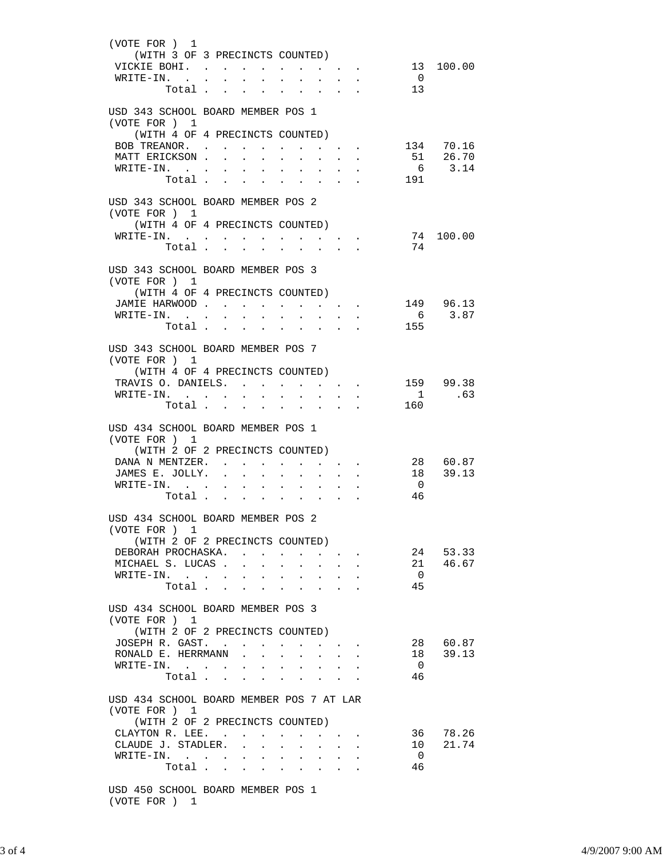| (VOTE FOR) 1<br>(WITH 3 OF 3 PRECINCTS COUNTED)<br>VICKIE BOHI. 13 100.00<br>WRITE-IN.                                                   | Total 13                                 |                                            |                                                                                                                                                     | $\overline{\phantom{0}}$      |                                 |
|------------------------------------------------------------------------------------------------------------------------------------------|------------------------------------------|--------------------------------------------|-----------------------------------------------------------------------------------------------------------------------------------------------------|-------------------------------|---------------------------------|
| USD 343 SCHOOL BOARD MEMBER POS 1<br>(VOTE FOR) 1<br>(WITH 4 OF 4 PRECINCTS COUNTED)<br>BOB TREANOR.<br>MATT ERICKSON<br>WRITE-IN.       | Total                                    | $\mathcal{L}^{\text{max}}$<br>$\mathbf{L}$ | $\mathbf{z} = \left\{ \mathbf{z}_1, \ldots, \mathbf{z}_n \right\}$ .<br>$\mathbf{L} = \mathbf{L}$<br>$\ddot{\phantom{0}}$                           | 191                           | 134 70.16<br>51 26.70<br>6 3.14 |
| USD 343 SCHOOL BOARD MEMBER POS 2<br>(VOTE FOR) 1<br>(WITH 4 OF 4 PRECINCTS COUNTED)<br>WRITE-IN.                                        | Total                                    |                                            |                                                                                                                                                     | 74                            | 74 100.00                       |
| USD 343 SCHOOL BOARD MEMBER POS 3<br>(VOTE FOR ) 1<br>JAMIE HARWOOD<br>WRITE-IN.                                                         | (WITH 4 OF 4 PRECINCTS COUNTED)<br>Total |                                            | $\cdot$ 149 96.13<br>$\mathbf{r} = \mathbf{r} \cdot \mathbf{r} = \mathbf{r} \cdot \mathbf{r}$ .<br>$\mathcal{L}^{\pm}$<br>$\mathbf{r} = \mathbf{r}$ | 155                           | 6 3.87                          |
| USD 343 SCHOOL BOARD MEMBER POS 7<br>(VOTE FOR) 1<br>(WITH 4 OF 4 PRECINCTS COUNTED)<br>TRAVIS O. DANIELS. 159 99.38<br>WRITE-IN.        | Total                                    |                                            |                                                                                                                                                     | 160                           | 1 .63                           |
| USD 434 SCHOOL BOARD MEMBER POS 1<br>(VOTE FOR ) 1<br>(WITH 2 OF 2 PRECINCTS COUNTED)<br>DANA N MENTZER.<br>JAMES E. JOLLY.<br>WRITE-IN. | Total                                    |                                            |                                                                                                                                                     | $\overline{0}$<br>46          | 28 60.87<br>18 39.13            |
| USD 434 SCHOOL BOARD MEMBER POS 2<br>(VOTE FOR ) 1<br>DEBORAH PROCHASKA.<br>MICHAEL S. LUCAS<br>WRITE-IN.                                | (WITH 2 OF 2 PRECINCTS COUNTED)<br>Total | $\mathbf{L}$<br>$\sim$                     |                                                                                                                                                     | $\overline{0}$<br>45          | 24 53.33<br>21 46.67            |
| USD 434 SCHOOL BOARD MEMBER POS 3<br>(VOTE FOR ) 1<br>JOSEPH R. GAST.<br>RONALD E. HERRMANN<br>WRITE-IN.                                 | (WITH 2 OF 2 PRECINCTS COUNTED)<br>Total |                                            | $\sim$ $\sim$                                                                                                                                       | $\overline{0}$<br>46          | 28 60.87<br>18 39.13            |
| USD 434 SCHOOL BOARD MEMBER POS 7 AT LAR<br>(VOTE FOR ) 1<br>CLAYTON R. LEE. $\ldots$<br>CLAUDE J. STADLER.<br>WRITE-IN.                 | (WITH 2 OF 2 PRECINCTS COUNTED)<br>Total | $\mathbf{L}^{\text{max}}$<br>$\sim$        | and a strategic state<br>$\sim$<br><b>Contract</b><br>$\ddot{\phantom{a}}$                                                                          | $\overline{\mathbf{0}}$<br>46 | 36 78.26<br>10 21.74            |
| USD 450 SCHOOL BOARD MEMBER POS 1                                                                                                        |                                          |                                            |                                                                                                                                                     |                               |                                 |

(VOTE FOR ) 1